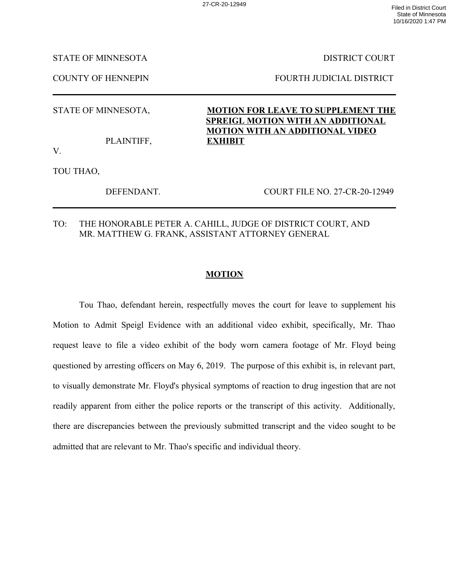STATE OF MINNESOTA DISTRICT COURT

COUNTY OF HENNEPIN FOURTH JUDICIAL DISTRICT

PLAINTIFF, **EXHIBIT**

STATE OF MINNESOTA, **MOTION FOR LEAVE TO SUPPLEMENT THE SPREIGL MOTION WITH AN ADDITIONAL MOTION WITH AN ADDITIONAL VIDEO**

V.

TOU THAO,

DEFENDANT. COURT FILE NO. 27-CR-20-12949

TO: THE HONORABLE PETER A. CAHILL, JUDGE OF DISTRICT COURT, AND MR. MATTHEW G. FRANK, ASSISTANT ATTORNEY GENERAL

## **MOTION**

Tou Thao, defendant herein, respectfully moves the court for leave to supplement his Motion to Admit Speigl Evidence with an additional video exhibit, specifically, Mr. Thao request leave to file a video exhibit of the body worn camera footage of Mr. Floyd being questioned by arresting officers on May 6, 2019. The purpose of this exhibit is, in relevant part, to visually demonstrate Mr. Floyd's physical symptoms of reaction to drug ingestion that are not readily apparent from either the police reports or the transcript of this activity. Additionally, there are discrepancies between the previously submitted transcript and the video sought to be admitted that are relevant to Mr. Thao's specific and individual theory.